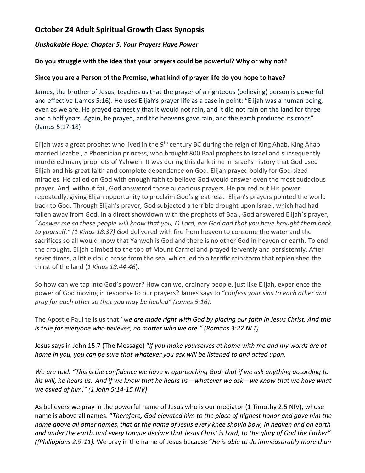## **October 24 Adult Spiritual Growth Class Synopsis**

### *Unshakable Hope: Chapter 5: Your Prayers Have Power*

#### **Do you struggle with the idea that your prayers could be powerful? Why or why not?**

#### **Since you are a Person of the Promise, what kind of prayer life do you hope to have?**

James, the brother of Jesus, teaches us that the prayer of a righteous (believing) person is powerful and effective (James 5:16). He uses Elijah's prayer life as a case in point: "Elijah was a human being, even as we are. He prayed earnestly that it would not rain, and it did not rain on the land for three and a half years. Again, he prayed, and the heavens gave rain, and the earth produced its crops" (James 5:17-18)

Elijah was a great prophet who lived in the 9<sup>th</sup> century BC during the reign of King Ahab. King Ahab married Jezebel, a Phoenician princess, who brought 800 Baal prophets to Israel and subsequently murdered many prophets of Yahweh. It was during this dark time in Israel's history that God used Elijah and his great faith and complete dependence on God. Elijah prayed boldly for God-sized miracles. He called on God with enough faith to believe God would answer even the most audacious prayer. And, without fail, God answered those audacious prayers. He poured out His power repeatedly, giving Elijah opportunity to proclaim God's greatness. Elijah's prayers pointed the world back to God. Through Elijah's prayer, God subjected a terrible drought upon Israel, which had had fallen away from God. In a direct showdown with the prophets of Baal, God answered Elijah's prayer, "*Answer me so these people will know that you, O Lord, are God and that you have brought them back to yourself." (1 Kings 18:37) Go*d delivered with fire from heaven to consume the water and the sacrifices so all would know that Yahweh is God and there is no other God in heaven or earth. To end the drought, Elijah climbed to the top of Mount Carmel and prayed fervently and persistently. After seven times, a little cloud arose from the sea, which led to a terrific rainstorm that replenished the thirst of the land (*1 Kings 18:44-46*).

So how can we tap into God's power? How can we, ordinary people, just like Elijah, experience the power of God moving in response to our prayers? James says to "c*onfess your sins to each other and pray for each other so that you may be healed<sup>"</sup> (James 5:16).* 

The Apostle Paul tells us that "w*e are made right with God by placing our faith in Jesus Christ. And this is true for everyone who believes, no matter who we are." (Romans 3:22 NLT)*

Jesus says in John 15:7 (The Message) "*if you make yourselves at home with me and my words are at home in you, you can be sure that whatever you ask will be listened to and acted upon.* 

*We are told: "This is the confidence we have in approaching God: that if we ask anything according to his will, he hears us. And if we know that he hears us—whatever we ask—we know that we have what we asked of him." (1 John 5:14-15 NIV)*

As believers we pray in the powerful name of Jesus who is our mediator (1 Timothy 2:5 NIV), whose name is above all names. "*Therefore, God elevated him to the place of highest honor and gave him the name above all other names,that at the name of Jesus every knee should bow, in heaven and on earth and under the earth, and every tongue declare that Jesus Christ is Lord, to the glory of God the Father" ({Philippians 2:9-11).* We pray in the name of Jesus because "*He is able to do immeasurably more than*